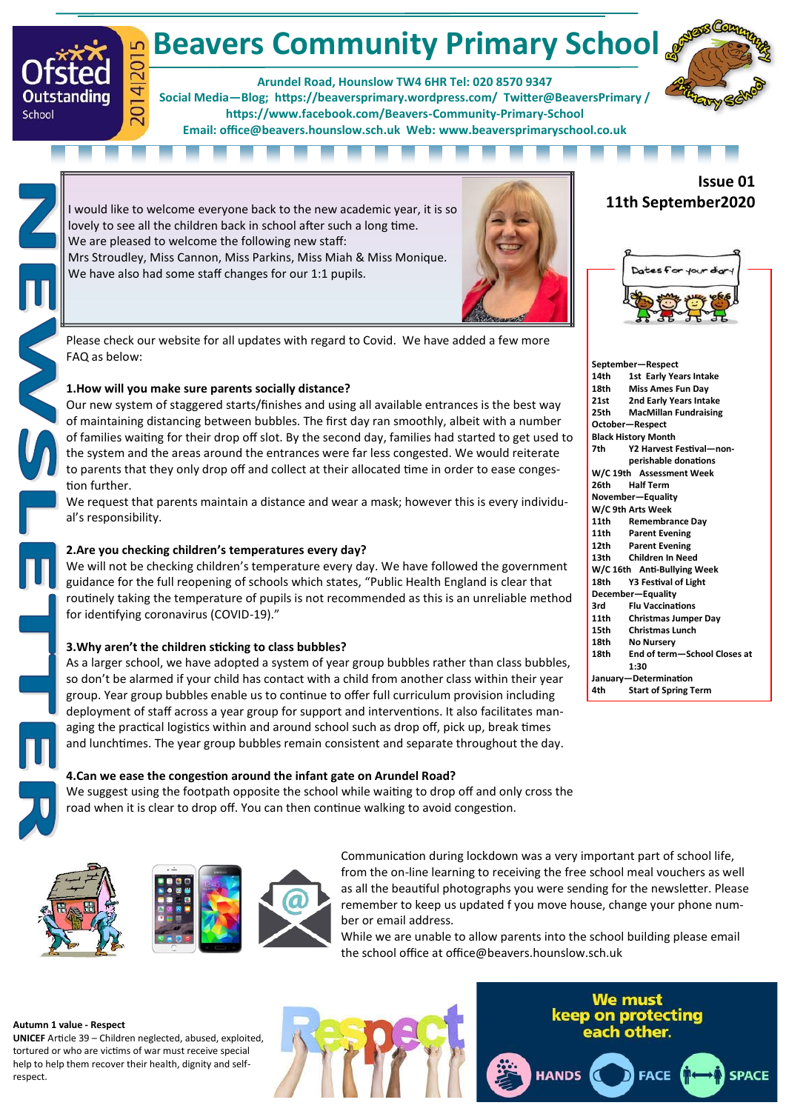# **Beavers Community Primary School** 2014|2015

**Arundel Road, Hounslow TW4 6HR Tel: 020 8570 9347** 

**Social Media—Blog; https://beaversprimary.wordpress.com/ Twitter@BeaversPrimary / [https://www.facebook.com/Beavers](https://www.facebook.com/Beavers-Community-Primary-School-107638227593773/)-Community-Primary-School Email: office@beavers.hounslow.sch.uk Web: www.beaversprimaryschool.co.uk**



I would like to welcome everyone back to the new academic year, it is so lovely to see all the children back in school after such a long time. We are pleased to welcome the following new staff: Mrs Stroudley, Miss Cannon, Miss Parkins, Miss Miah & Miss Monique. We have also had some staff changes for our 1:1 pupils.



Please check our website for all updates with regard to Covid. We have added a few more FAQ as below:

# **1.How will you make sure parents socially distance?**

Our new system of staggered starts/finishes and using all available entrances is the best way of maintaining distancing between bubbles. The first day ran smoothly, albeit with a number of families waiting for their drop off slot. By the second day, families had started to get used to the system and the areas around the entrances were far less congested. We would reiterate to parents that they only drop off and collect at their allocated time in order to ease congestion further.

We request that parents maintain a distance and wear a mask; however this is every individual's responsibility.

# **2.Are you checking children's temperatures every day?**

We will not be checking children's temperature every day. We have followed the government guidance for the full reopening of schools which states, "Public Health England is clear that routinely taking the temperature of pupils is not recommended as this is an unreliable method for identifying coronavirus (COVID-19)."

# **3.Why aren't the children sticking to class bubbles?**

As a larger school, we have adopted a system of year group bubbles rather than class bubbles, so don't be alarmed if your child has contact with a child from another class within their year group. Year group bubbles enable us to continue to offer full curriculum provision including deployment of staff across a year group for support and interventions. It also facilitates managing the practical logistics within and around school such as drop off, pick up, break times and lunchtimes. The year group bubbles remain consistent and separate throughout the day.

# **4.Can we ease the congestion around the infant gate on Arundel Road?**

We suggest using the footpath opposite the school while waiting to drop off and only cross the road when it is clear to drop off. You can then continue walking to avoid congestion.



Outstanding

School



Communication during lockdown was a very important part of school life, from the on-line learning to receiving the free school meal vouchers as well as all the beautiful photographs you were sending for the newsletter. Please remember to keep us updated f you move house, change your phone number or email address.

While we are unable to allow parents into the school building please email the school office at office@beavers.hounslow.sch.uk

**HANDS** 

### **Autumn 1 value - Respect**

**UNICEF** Article 39 – Children neglected, abused, exploited, tortured or who are victims of war must receive special help to help them recover their health, dignity and selfrespect.

**We must** keep on protecting each other.

**FACE** 

**SPACE** 

# **Issue 01 11th September2020**



|      | September-Respect            |
|------|------------------------------|
| 14th | 1st Early Years Intake       |
| 18th | Miss Ames Fun Day            |
| 21st | 2nd Early Years Intake       |
| 25th | <b>MacMillan Fundraising</b> |
|      | October-Respect              |
|      | <b>Black History Month</b>   |
| 7th  | Y2 Harvest Festival-non-     |
|      | perishable donations         |
|      | W/C 19th Assessment Week     |
| 26th | <b>Half Term</b>             |
|      | November-Equality            |
|      | W/C 9th Arts Week            |
| 11th | <b>Remembrance Dav</b>       |
| 11th | <b>Parent Evening</b>        |
| 12th | <b>Parent Evening</b>        |
| 13th | Children In Need             |
|      | W/C 16th Anti-Bullying Week  |
| 18th | Y3 Festival of Light         |
|      | December-Equality            |
| 3rd  | <b>Flu Vaccinations</b>      |
| 11th | <b>Christmas Jumper Day</b>  |
| 15th | <b>Christmas Lunch</b>       |
| 18th | <b>No Nursery</b>            |
| 18th | End of term-School Closes at |
|      | 1:30                         |
|      | January-Determination        |
| 4th  | <b>Start of Spring Term</b>  |
|      |                              |